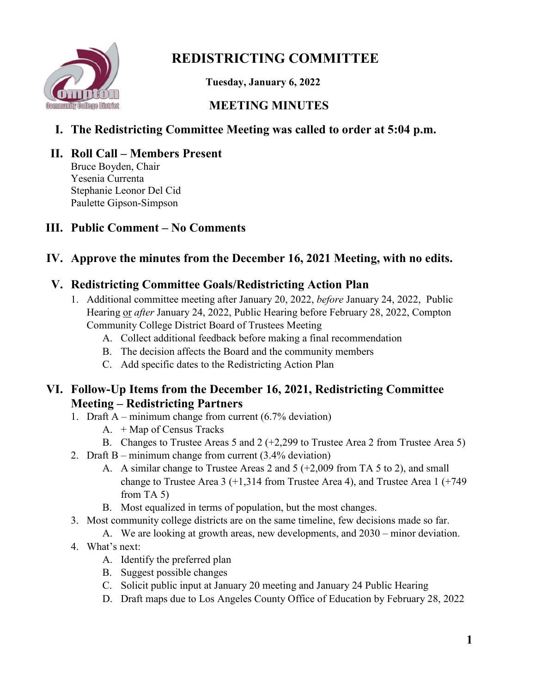

# **REDISTRICTING COMMITTEE**

 **Tuesday, January 6, 2022**

# **MEETING MINUTES**

# **I. The Redistricting Committee Meeting was called to order at 5:04 p.m.**

# **II. Roll Call – Members Present**

Bruce Boyden, Chair Yesenia Currenta Stephanie Leonor Del Cid Paulette Gipson-Simpson

# **III. Public Comment – No Comments**

## **IV. Approve the minutes from the December 16, 2021 Meeting, with no edits.**

#### **V. Redistricting Committee Goals/Redistricting Action Plan**

- 1. Additional committee meeting after January 20, 2022, *before* January 24, 2022, Public Hearing or *after* January 24, 2022, Public Hearing before February 28, 2022, Compton Community College District Board of Trustees Meeting
	- A. Collect additional feedback before making a final recommendation
	- B. The decision affects the Board and the community members
	- C. Add specific dates to the Redistricting Action Plan

#### **VI. Follow-Up Items from the December 16, 2021, Redistricting Committee Meeting – Redistricting Partners**

- 1. Draft A minimum change from current  $(6.7\%$  deviation)
	- A. + Map of Census Tracks
	- B. Changes to Trustee Areas 5 and 2 (+2,299 to Trustee Area 2 from Trustee Area 5)
- 2. Draft B minimum change from current (3.4% deviation)
	- A. A similar change to Trustee Areas 2 and 5 (+2,009 from TA 5 to 2), and small change to Trustee Area 3  $(+1,314$  from Trustee Area 4), and Trustee Area 1  $(+749)$ from TA 5)
	- B. Most equalized in terms of population, but the most changes.
- 3. Most community college districts are on the same timeline, few decisions made so far.
	- A. We are looking at growth areas, new developments, and 2030 minor deviation.
- 4. What's next:
	- A. Identify the preferred plan
	- B. Suggest possible changes
	- C. Solicit public input at January 20 meeting and January 24 Public Hearing
	- D. Draft maps due to Los Angeles County Office of Education by February 28, 2022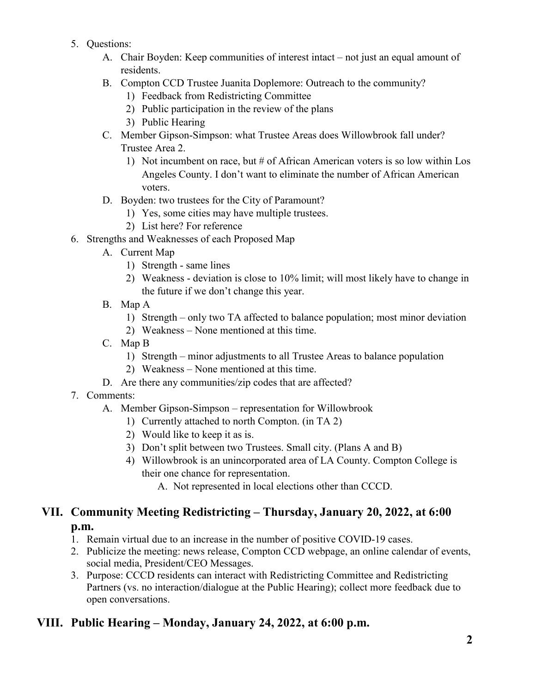- 5. Questions:
	- A. Chair Boyden: Keep communities of interest intact not just an equal amount of residents.
	- B. Compton CCD Trustee Juanita Doplemore: Outreach to the community?
		- 1) Feedback from Redistricting Committee
		- 2) Public participation in the review of the plans
		- 3) Public Hearing
	- C. Member Gipson-Simpson: what Trustee Areas does Willowbrook fall under? Trustee Area 2.
		- 1) Not incumbent on race, but # of African American voters is so low within Los Angeles County. I don't want to eliminate the number of African American voters.
	- D. Boyden: two trustees for the City of Paramount?
		- 1) Yes, some cities may have multiple trustees.
		- 2) List here? For reference
- 6. Strengths and Weaknesses of each Proposed Map
	- A. Current Map
		- 1) Strength same lines
		- 2) Weakness deviation is close to 10% limit; will most likely have to change in the future if we don't change this year.
	- B. Map A
		- 1) Strength only two TA affected to balance population; most minor deviation
		- 2) Weakness None mentioned at this time.
	- C. Map B
		- 1) Strength minor adjustments to all Trustee Areas to balance population
		- 2) Weakness None mentioned at this time.
	- D. Are there any communities/zip codes that are affected?
- 7. Comments:
	- A. Member Gipson-Simpson representation for Willowbrook
		- 1) Currently attached to north Compton. (in TA 2)
		- 2) Would like to keep it as is.
		- 3) Don't split between two Trustees. Small city. (Plans A and B)
		- 4) Willowbrook is an unincorporated area of LA County. Compton College is their one chance for representation.

A. Not represented in local elections other than CCCD.

## **VII. Community Meeting Redistricting – Thursday, January 20, 2022, at 6:00 p.m.**

- 1. Remain virtual due to an increase in the number of positive COVID-19 cases.
- 2. Publicize the meeting: news release, Compton CCD webpage, an online calendar of events, social media, President/CEO Messages.
- 3. Purpose: CCCD residents can interact with Redistricting Committee and Redistricting Partners (vs. no interaction/dialogue at the Public Hearing); collect more feedback due to open conversations.

#### **VIII. Public Hearing – Monday, January 24, 2022, at 6:00 p.m.**